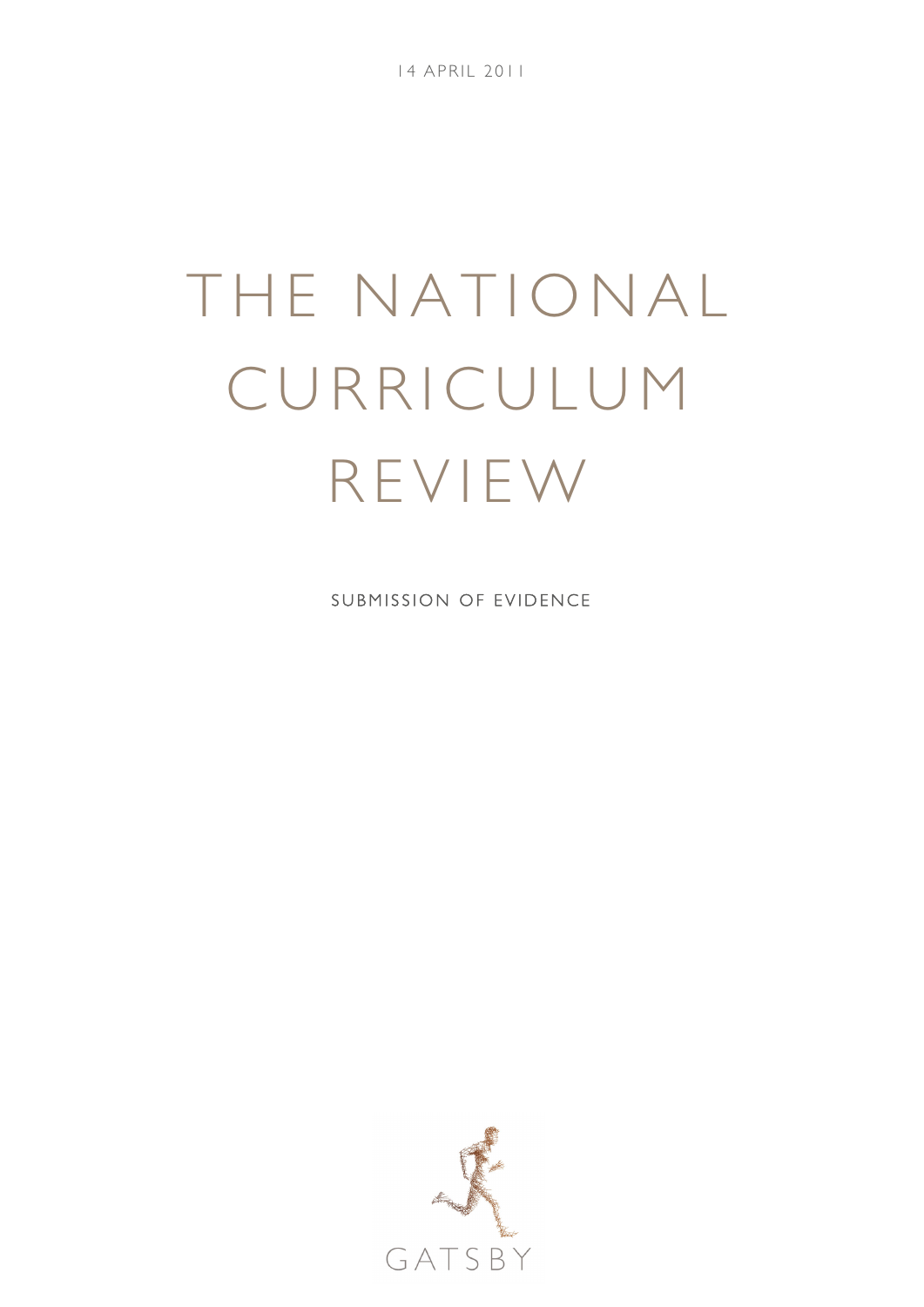14 APRIL 2011

# THE NATIONAL CURRICULUM REVIEW

SUBMISSION OF EVIDENCE

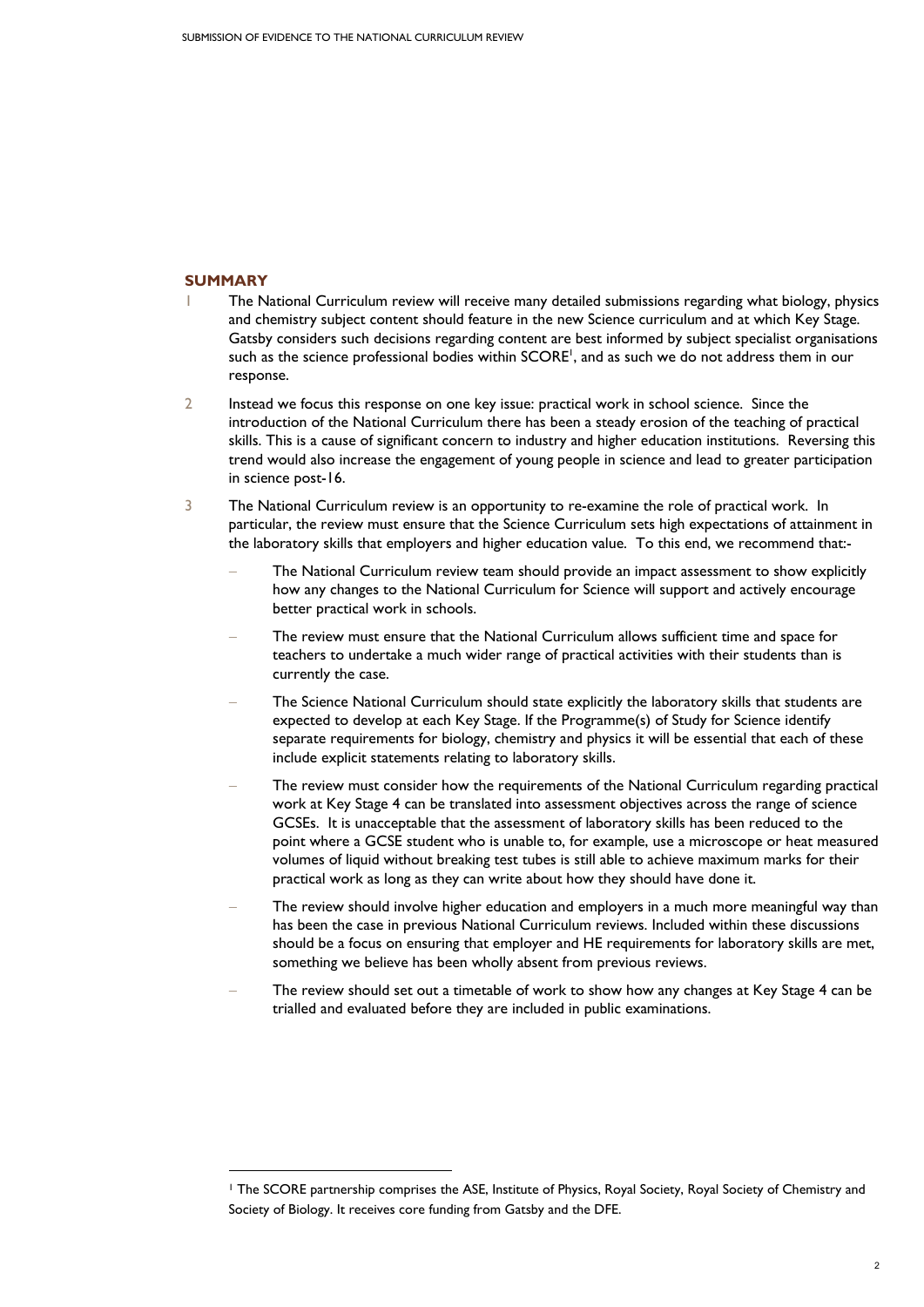## **SUMMARY**

-

- 1 The National Curriculum review will receive many detailed submissions regarding what biology, physics and chemistry subject content should feature in the new Science curriculum and at which Key Stage. Gatsby considers such decisions regarding content are best informed by subject specialist organisations such as the science professional bodies within SCORE<sup>1</sup>, and as such we do not address them in our response.
- 2 Instead we focus this response on one key issue: practical work in school science. Since the introduction of the National Curriculum there has been a steady erosion of the teaching of practical skills. This is a cause of significant concern to industry and higher education institutions. Reversing this trend would also increase the engagement of young people in science and lead to greater participation in science post-16.
- 3 The National Curriculum review is an opportunity to re-examine the role of practical work. In particular, the review must ensure that the Science Curriculum sets high expectations of attainment in the laboratory skills that employers and higher education value. To this end, we recommend that:-
	- The National Curriculum review team should provide an impact assessment to show explicitly how any changes to the National Curriculum for Science will support and actively encourage better practical work in schools.
	- The review must ensure that the National Curriculum allows sufficient time and space for teachers to undertake a much wider range of practical activities with their students than is currently the case.
	- The Science National Curriculum should state explicitly the laboratory skills that students are expected to develop at each Key Stage. If the Programme(s) of Study for Science identify separate requirements for biology, chemistry and physics it will be essential that each of these include explicit statements relating to laboratory skills.
	- The review must consider how the requirements of the National Curriculum regarding practical work at Key Stage 4 can be translated into assessment objectives across the range of science GCSEs. It is unacceptable that the assessment of laboratory skills has been reduced to the point where a GCSE student who is unable to, for example, use a microscope or heat measured volumes of liquid without breaking test tubes is still able to achieve maximum marks for their practical work as long as they can write about how they should have done it.
	- The review should involve higher education and employers in a much more meaningful way than has been the case in previous National Curriculum reviews. Included within these discussions should be a focus on ensuring that employer and HE requirements for laboratory skills are met, something we believe has been wholly absent from previous reviews.
	- The review should set out a timetable of work to show how any changes at Key Stage 4 can be trialled and evaluated before they are included in public examinations.

<sup>1</sup> The SCORE partnership comprises the ASE, Institute of Physics, Royal Society, Royal Society of Chemistry and Society of Biology. It receives core funding from Gatsby and the DFE.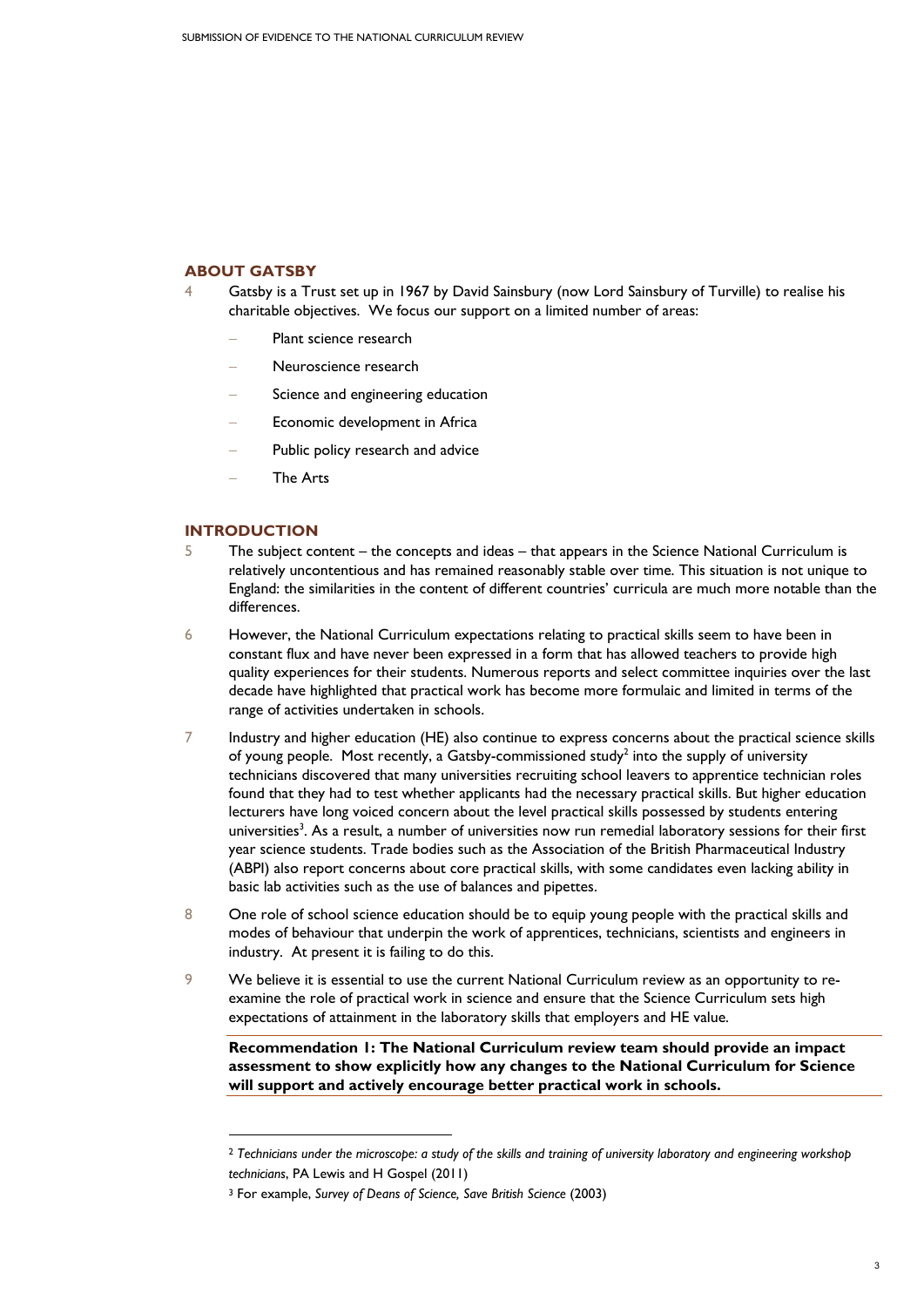## **ABOUT GATSBY**

- 4 Gatsby is a Trust set up in 1967 by David Sainsbury (now Lord Sainsbury of Turville) to realise his charitable objectives. We focus our support on a limited number of areas:
	- Plant science research
	- − Neuroscience research
	- Science and engineering education
	- Economic development in Africa
	- Public policy research and advice
	- − The Arts

#### **INTRODUCTION**

1

- 5 The subject content the concepts and ideas that appears in the Science National Curriculum is relatively uncontentious and has remained reasonably stable over time. This situation is not unique to England: the similarities in the content of different countries' curricula are much more notable than the differences.
- 6 However, the National Curriculum expectations relating to practical skills seem to have been in constant flux and have never been expressed in a form that has allowed teachers to provide high quality experiences for their students. Numerous reports and select committee inquiries over the last decade have highlighted that practical work has become more formulaic and limited in terms of the range of activities undertaken in schools.
- 7 Industry and higher education (HE) also continue to express concerns about the practical science skills of young people. Most recently, a Gatsby-commissioned study<sup>2</sup> into the supply of university technicians discovered that many universities recruiting school leavers to apprentice technician roles found that they had to test whether applicants had the necessary practical skills. But higher education lecturers have long voiced concern about the level practical skills possessed by students entering universities<sup>3</sup>. As a result, a number of universities now run remedial laboratory sessions for their first year science students. Trade bodies such as the Association of the British Pharmaceutical Industry (ABPI) also report concerns about core practical skills, with some candidates even lacking ability in basic lab activities such as the use of balances and pipettes.
- 8 One role of school science education should be to equip young people with the practical skills and modes of behaviour that underpin the work of apprentices, technicians, scientists and engineers in industry. At present it is failing to do this.
- 9 We believe it is essential to use the current National Curriculum review as an opportunity to reexamine the role of practical work in science and ensure that the Science Curriculum sets high expectations of attainment in the laboratory skills that employers and HE value.

**Recommendation 1: The National Curriculum review team should provide an impact assessment to show explicitly how any changes to the National Curriculum for Science will support and actively encourage better practical work in schools.** 

<sup>2</sup> *Technicians under the microscope: a study of the skills and training of university laboratory and engineering workshop technicians*, PA Lewis and H Gospel (2011)

<sup>3</sup> For example, *Survey of Deans of Science, Save British Science* (2003)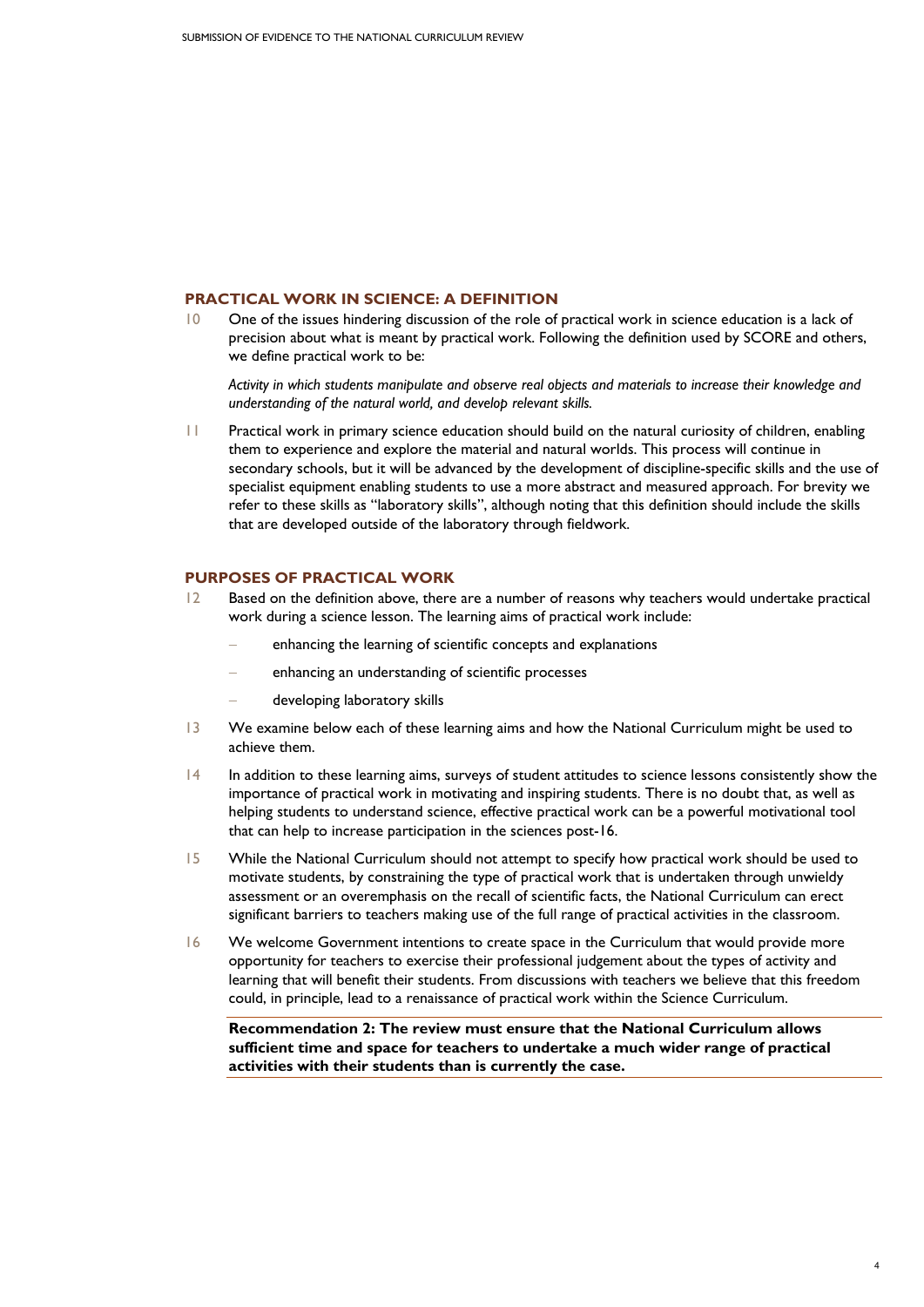## **PRACTICAL WORK IN SCIENCE: A DEFINITION**

10 One of the issues hindering discussion of the role of practical work in science education is a lack of precision about what is meant by practical work. Following the definition used by SCORE and others, we define practical work to be:

*Activity in which students manipulate and observe real objects and materials to increase their knowledge and understanding of the natural world, and develop relevant skills.* 

11 Practical work in primary science education should build on the natural curiosity of children, enabling them to experience and explore the material and natural worlds. This process will continue in secondary schools, but it will be advanced by the development of discipline-specific skills and the use of specialist equipment enabling students to use a more abstract and measured approach. For brevity we refer to these skills as "laboratory skills", although noting that this definition should include the skills that are developed outside of the laboratory through fieldwork.

# **PURPOSES OF PRACTICAL WORK**

- 12 Based on the definition above, there are a number of reasons why teachers would undertake practical work during a science lesson. The learning aims of practical work include:
	- enhancing the learning of scientific concepts and explanations
	- enhancing an understanding of scientific processes
	- − developing laboratory skills
- 13 We examine below each of these learning aims and how the National Curriculum might be used to achieve them.
- 14 In addition to these learning aims, surveys of student attitudes to science lessons consistently show the importance of practical work in motivating and inspiring students. There is no doubt that, as well as helping students to understand science, effective practical work can be a powerful motivational tool that can help to increase participation in the sciences post-16.
- 15 While the National Curriculum should not attempt to specify how practical work should be used to motivate students, by constraining the type of practical work that is undertaken through unwieldy assessment or an overemphasis on the recall of scientific facts, the National Curriculum can erect significant barriers to teachers making use of the full range of practical activities in the classroom.
- 16 We welcome Government intentions to create space in the Curriculum that would provide more opportunity for teachers to exercise their professional judgement about the types of activity and learning that will benefit their students. From discussions with teachers we believe that this freedom could, in principle, lead to a renaissance of practical work within the Science Curriculum.

**Recommendation 2: The review must ensure that the National Curriculum allows sufficient time and space for teachers to undertake a much wider range of practical activities with their students than is currently the case.**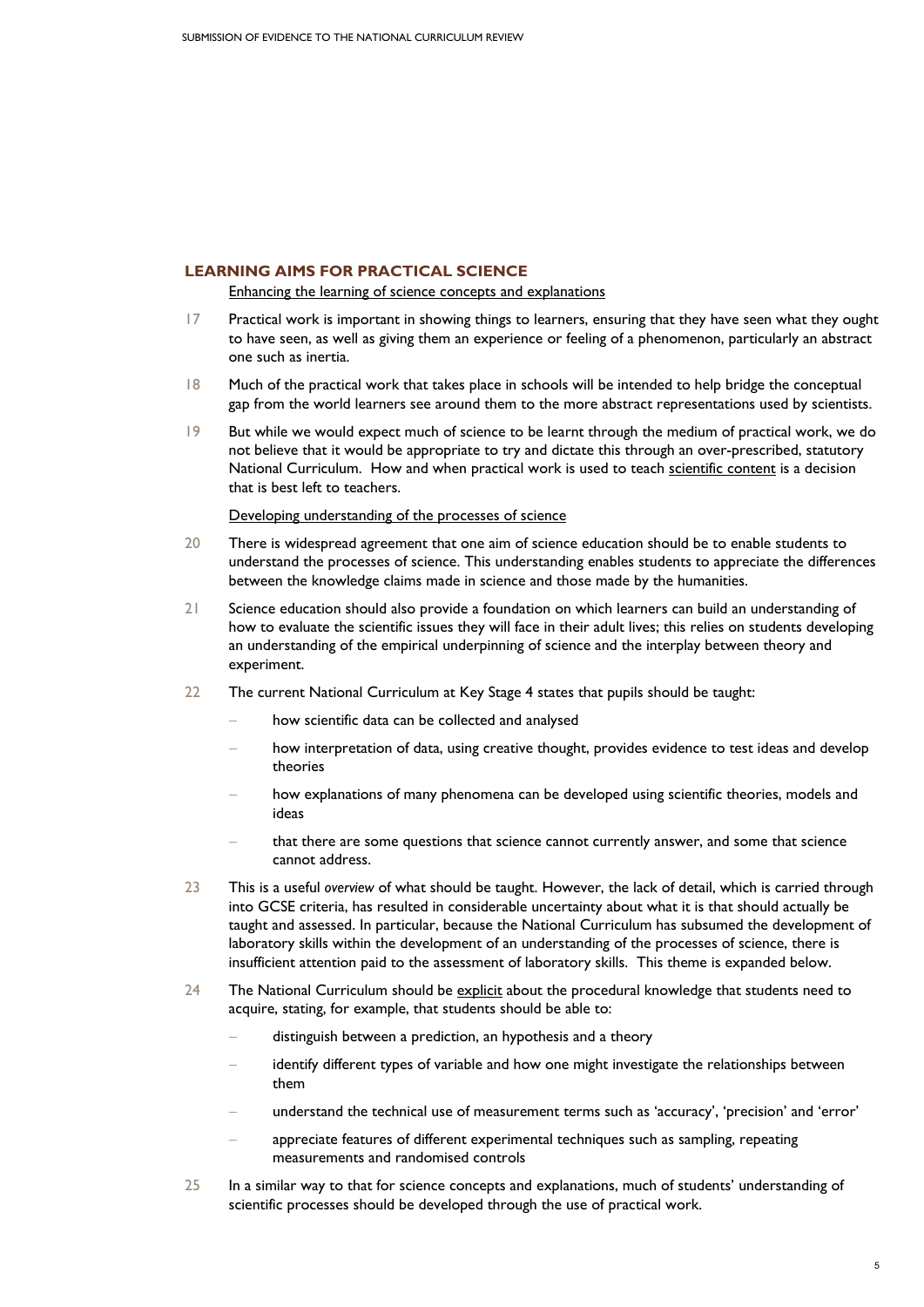## **LEARNING AIMS FOR PRACTICAL SCIENCE**

Enhancing the learning of science concepts and explanations

- 17 Practical work is important in showing things to learners, ensuring that they have seen what they ought to have seen, as well as giving them an experience or feeling of a phenomenon, particularly an abstract one such as inertia.
- 18 Much of the practical work that takes place in schools will be intended to help bridge the conceptual gap from the world learners see around them to the more abstract representations used by scientists.
- 19 But while we would expect much of science to be learnt through the medium of practical work, we do not believe that it would be appropriate to try and dictate this through an over-prescribed, statutory National Curriculum. How and when practical work is used to teach scientific content is a decision that is best left to teachers.

#### Developing understanding of the processes of science

- 20 There is widespread agreement that one aim of science education should be to enable students to understand the processes of science. This understanding enables students to appreciate the differences between the knowledge claims made in science and those made by the humanities.
- 21 Science education should also provide a foundation on which learners can build an understanding of how to evaluate the scientific issues they will face in their adult lives; this relies on students developing an understanding of the empirical underpinning of science and the interplay between theory and experiment.
- 22 The current National Curriculum at Key Stage 4 states that pupils should be taught:
	- how scientific data can be collected and analysed
	- how interpretation of data, using creative thought, provides evidence to test ideas and develop theories
	- how explanations of many phenomena can be developed using scientific theories, models and ideas
	- that there are some questions that science cannot currently answer, and some that science cannot address.
- 23 This is a useful *overview* of what should be taught. However, the lack of detail, which is carried through into GCSE criteria, has resulted in considerable uncertainty about what it is that should actually be taught and assessed. In particular, because the National Curriculum has subsumed the development of laboratory skills within the development of an understanding of the processes of science, there is insufficient attention paid to the assessment of laboratory skills. This theme is expanded below.
- 24 The National Curriculum should be explicit about the procedural knowledge that students need to acquire, stating, for example, that students should be able to:
	- distinguish between a prediction, an hypothesis and a theory
	- identify different types of variable and how one might investigate the relationships between them
	- understand the technical use of measurement terms such as 'accuracy', 'precision' and 'error'
	- appreciate features of different experimental techniques such as sampling, repeating measurements and randomised controls
- 25 In a similar way to that for science concepts and explanations, much of students' understanding of scientific processes should be developed through the use of practical work.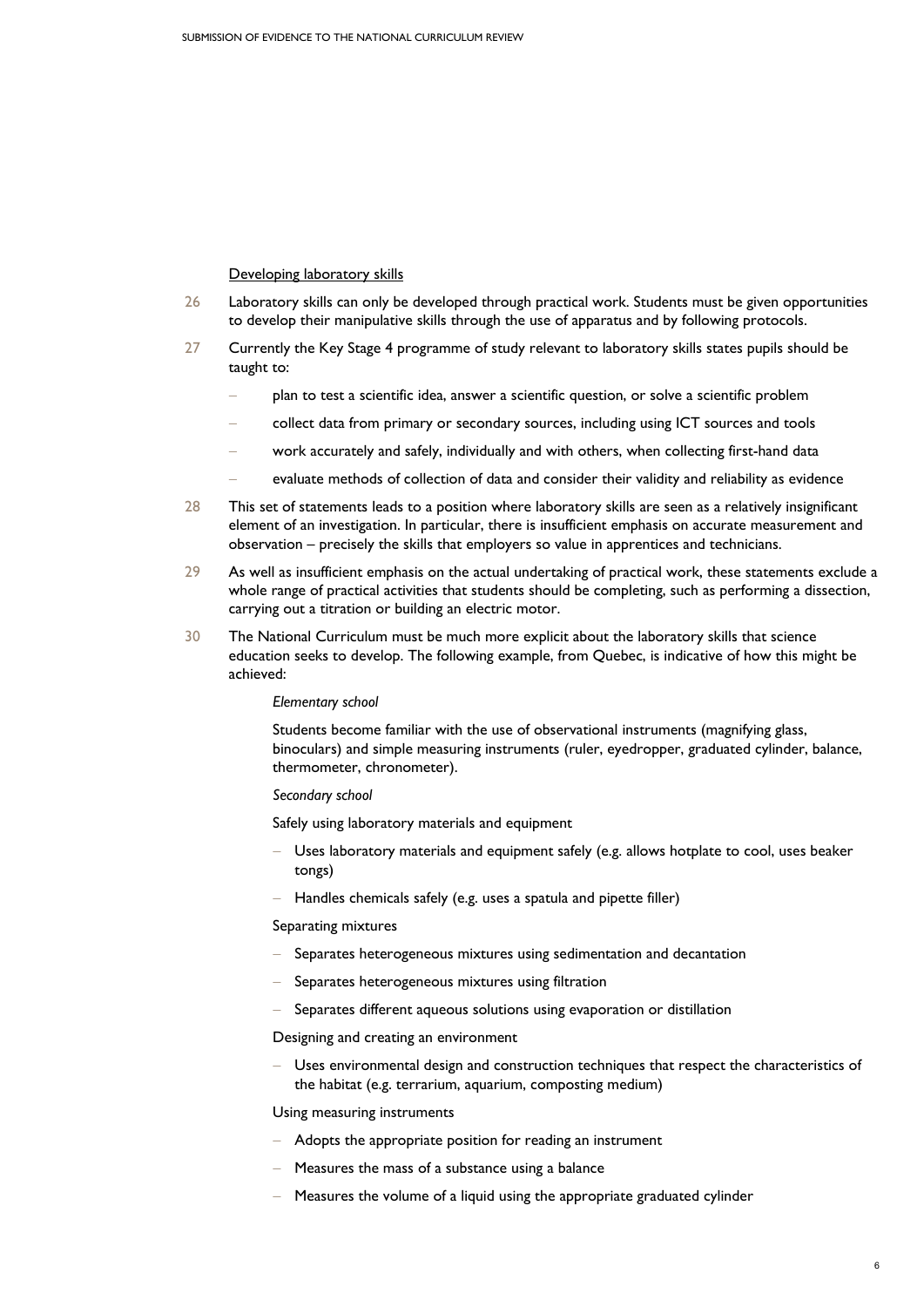#### Developing laboratory skills

- 26 Laboratory skills can only be developed through practical work. Students must be given opportunities to develop their manipulative skills through the use of apparatus and by following protocols.
- 27 Currently the Key Stage 4 programme of study relevant to laboratory skills states pupils should be taught to:
	- − plan to test a scientific idea, answer a scientific question, or solve a scientific problem
	- collect data from primary or secondary sources, including using ICT sources and tools
	- work accurately and safely, individually and with others, when collecting first-hand data
	- evaluate methods of collection of data and consider their validity and reliability as evidence
- 28 This set of statements leads to a position where laboratory skills are seen as a relatively insignificant element of an investigation. In particular, there is insufficient emphasis on accurate measurement and observation – precisely the skills that employers so value in apprentices and technicians.
- 29 As well as insufficient emphasis on the actual undertaking of practical work, these statements exclude a whole range of practical activities that students should be completing, such as performing a dissection, carrying out a titration or building an electric motor.
- 30 The National Curriculum must be much more explicit about the laboratory skills that science education seeks to develop. The following example, from Quebec, is indicative of how this might be achieved:

#### *Elementary school*

Students become familiar with the use of observational instruments (magnifying glass, binoculars) and simple measuring instruments (ruler, eyedropper, graduated cylinder, balance, thermometer, chronometer).

#### *Secondary school*

Safely using laboratory materials and equipment

- Uses laboratory materials and equipment safely (e.g. allows hotplate to cool, uses beaker tongs)
- − Handles chemicals safely (e.g. uses a spatula and pipette filler)

#### Separating mixtures

- Separates heterogeneous mixtures using sedimentation and decantation
- Separates heterogeneous mixtures using filtration
- Separates different aqueous solutions using evaporation or distillation

Designing and creating an environment

Uses environmental design and construction techniques that respect the characteristics of the habitat (e.g. terrarium, aquarium, composting medium)

Using measuring instruments

- − Adopts the appropriate position for reading an instrument
- Heasures the mass of a substance using a balance
- − Measures the volume of a liquid using the appropriate graduated cylinder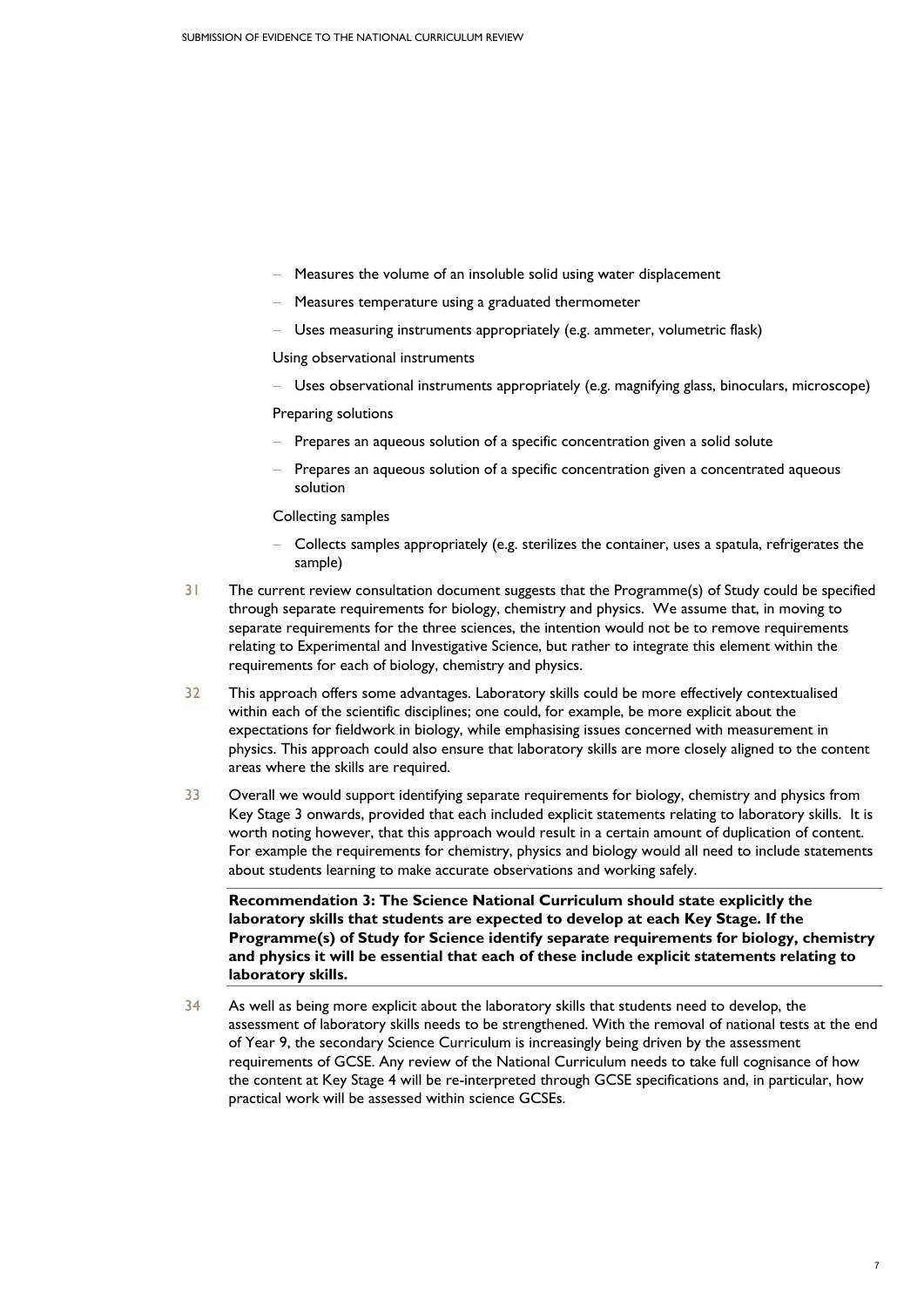- Heasures the volume of an insoluble solid using water displacement
- − Measures temperature using a graduated thermometer
- Uses measuring instruments appropriately (e.g. ammeter, volumetric flask)

Using observational instruments

− Uses observational instruments appropriately (e.g. magnifying glass, binoculars, microscope)

Preparing solutions

- Prepares an aqueous solution of a specific concentration given a solid solute
- Prepares an aqueous solution of a specific concentration given a concentrated aqueous solution

Collecting samples

- − Collects samples appropriately (e.g. sterilizes the container, uses a spatula, refrigerates the sample)
- 31 The current review consultation document suggests that the Programme(s) of Study could be specified through separate requirements for biology, chemistry and physics. We assume that, in moving to separate requirements for the three sciences, the intention would not be to remove requirements relating to Experimental and Investigative Science, but rather to integrate this element within the requirements for each of biology, chemistry and physics.
- 32 This approach offers some advantages. Laboratory skills could be more effectively contextualised within each of the scientific disciplines; one could, for example, be more explicit about the expectations for fieldwork in biology, while emphasising issues concerned with measurement in physics. This approach could also ensure that laboratory skills are more closely aligned to the content areas where the skills are required.
- 33 Overall we would support identifying separate requirements for biology, chemistry and physics from Key Stage 3 onwards, provided that each included explicit statements relating to laboratory skills. It is worth noting however, that this approach would result in a certain amount of duplication of content. For example the requirements for chemistry, physics and biology would all need to include statements about students learning to make accurate observations and working safely.

**Recommendation 3: The Science National Curriculum should state explicitly the laboratory skills that students are expected to develop at each Key Stage. If the Programme(s) of Study for Science identify separate requirements for biology, chemistry and physics it will be essential that each of these include explicit statements relating to laboratory skills.** 

34 As well as being more explicit about the laboratory skills that students need to develop, the assessment of laboratory skills needs to be strengthened. With the removal of national tests at the end of Year 9, the secondary Science Curriculum is increasingly being driven by the assessment requirements of GCSE. Any review of the National Curriculum needs to take full cognisance of how the content at Key Stage 4 will be re-interpreted through GCSE specifications and, in particular, how practical work will be assessed within science GCSEs.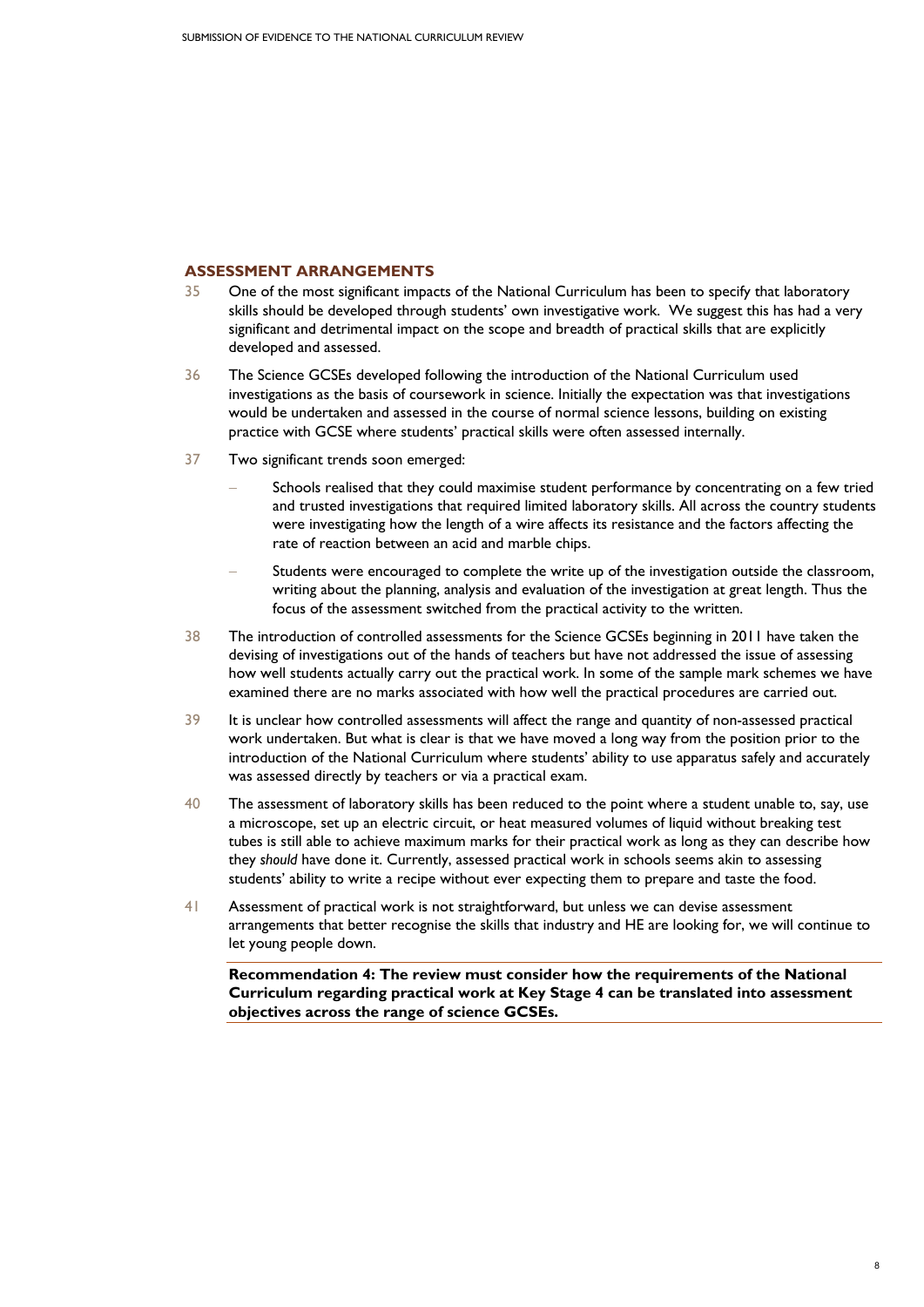### **ASSESSMENT ARRANGEMENTS**

- 35 One of the most significant impacts of the National Curriculum has been to specify that laboratory skills should be developed through students' own investigative work. We suggest this has had a very significant and detrimental impact on the scope and breadth of practical skills that are explicitly developed and assessed.
- 36 The Science GCSEs developed following the introduction of the National Curriculum used investigations as the basis of coursework in science. Initially the expectation was that investigations would be undertaken and assessed in the course of normal science lessons, building on existing practice with GCSE where students' practical skills were often assessed internally.
- 37 Two significant trends soon emerged:
	- Schools realised that they could maximise student performance by concentrating on a few tried and trusted investigations that required limited laboratory skills. All across the country students were investigating how the length of a wire affects its resistance and the factors affecting the rate of reaction between an acid and marble chips.
	- Students were encouraged to complete the write up of the investigation outside the classroom, writing about the planning, analysis and evaluation of the investigation at great length. Thus the focus of the assessment switched from the practical activity to the written.
- 38 The introduction of controlled assessments for the Science GCSEs beginning in 2011 have taken the devising of investigations out of the hands of teachers but have not addressed the issue of assessing how well students actually carry out the practical work. In some of the sample mark schemes we have examined there are no marks associated with how well the practical procedures are carried out.
- 39 It is unclear how controlled assessments will affect the range and quantity of non-assessed practical work undertaken. But what is clear is that we have moved a long way from the position prior to the introduction of the National Curriculum where students' ability to use apparatus safely and accurately was assessed directly by teachers or via a practical exam.
- 40 The assessment of laboratory skills has been reduced to the point where a student unable to, say, use a microscope, set up an electric circuit, or heat measured volumes of liquid without breaking test tubes is still able to achieve maximum marks for their practical work as long as they can describe how they *should* have done it. Currently, assessed practical work in schools seems akin to assessing students' ability to write a recipe without ever expecting them to prepare and taste the food.
- 41 Assessment of practical work is not straightforward, but unless we can devise assessment arrangements that better recognise the skills that industry and HE are looking for, we will continue to let young people down.

**Recommendation 4: The review must consider how the requirements of the National Curriculum regarding practical work at Key Stage 4 can be translated into assessment objectives across the range of science GCSEs.**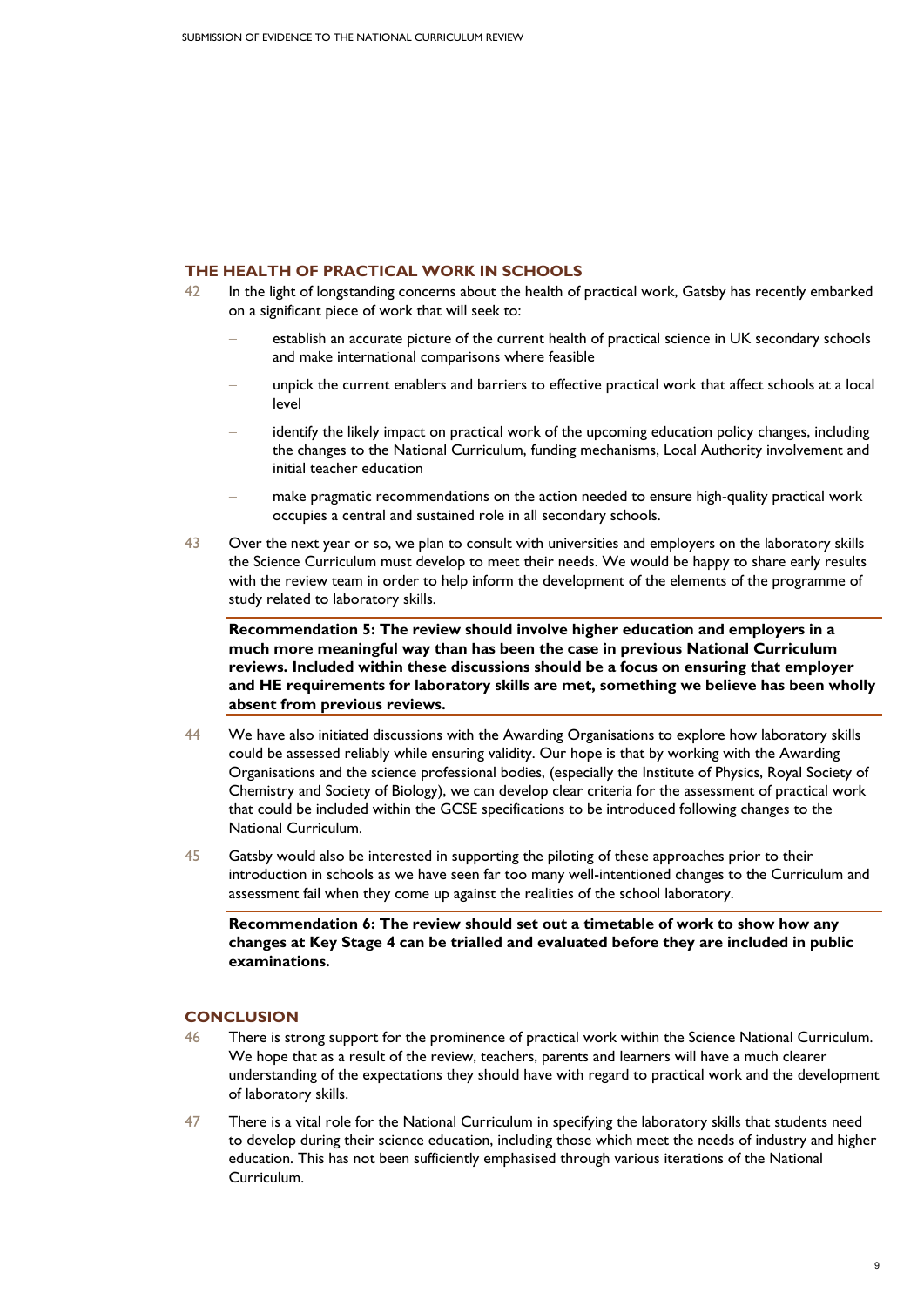## **THE HEALTH OF PRACTICAL WORK IN SCHOOLS**

- 42 In the light of longstanding concerns about the health of practical work, Gatsby has recently embarked on a significant piece of work that will seek to:
	- establish an accurate picture of the current health of practical science in UK secondary schools and make international comparisons where feasible
	- unpick the current enablers and barriers to effective practical work that affect schools at a local level
	- identify the likely impact on practical work of the upcoming education policy changes, including the changes to the National Curriculum, funding mechanisms, Local Authority involvement and initial teacher education
	- make pragmatic recommendations on the action needed to ensure high-quality practical work occupies a central and sustained role in all secondary schools.
- 43 Over the next year or so, we plan to consult with universities and employers on the laboratory skills the Science Curriculum must develop to meet their needs. We would be happy to share early results with the review team in order to help inform the development of the elements of the programme of study related to laboratory skills.

**Recommendation 5: The review should involve higher education and employers in a much more meaningful way than has been the case in previous National Curriculum reviews. Included within these discussions should be a focus on ensuring that employer and HE requirements for laboratory skills are met, something we believe has been wholly absent from previous reviews.** 

- 44 We have also initiated discussions with the Awarding Organisations to explore how laboratory skills could be assessed reliably while ensuring validity. Our hope is that by working with the Awarding Organisations and the science professional bodies, (especially the Institute of Physics, Royal Society of Chemistry and Society of Biology), we can develop clear criteria for the assessment of practical work that could be included within the GCSE specifications to be introduced following changes to the National Curriculum.
- 45 Gatsby would also be interested in supporting the piloting of these approaches prior to their introduction in schools as we have seen far too many well-intentioned changes to the Curriculum and assessment fail when they come up against the realities of the school laboratory.

**Recommendation 6: The review should set out a timetable of work to show how any changes at Key Stage 4 can be trialled and evaluated before they are included in public examinations.** 

# **CONCLUSION**

- 46 There is strong support for the prominence of practical work within the Science National Curriculum. We hope that as a result of the review, teachers, parents and learners will have a much clearer understanding of the expectations they should have with regard to practical work and the development of laboratory skills.
- 47 There is a vital role for the National Curriculum in specifying the laboratory skills that students need to develop during their science education, including those which meet the needs of industry and higher education. This has not been sufficiently emphasised through various iterations of the National Curriculum.